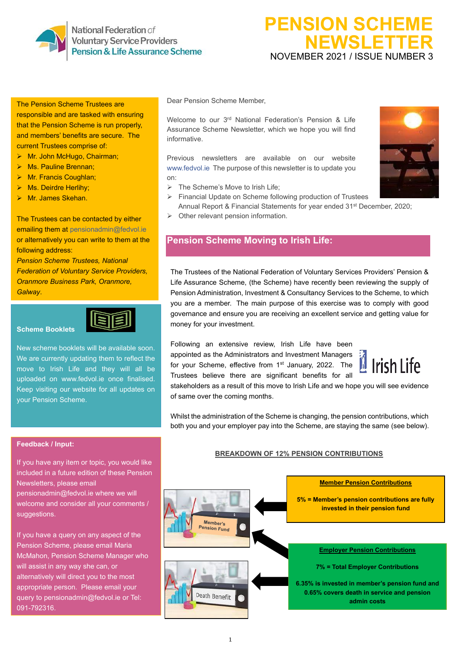National Federation of **Voluntary Service Providers** Pension & Life Assurance Scheme

# **PENSION SCHEME NEWSLETTER** NOVEMBER 2021 / ISSUE NUMBER 3

#### The Pension Scheme Trustees are

responsible and are tasked with ensuring that the Pension Scheme is run properly, and members' benefits are secure. The current Trustees comprise of:

- ➢ Mr. John McHugo, Chairman;
- ➢ Ms. Pauline Brennan;
- ➢ Mr. Francis Coughlan;
- ➢ Ms. Deirdre Herlihy;
- ➢ Mr. James Skehan.

The Trustees can be contacted by either emailing them at [pensionadmin@fedvol.ie](mailto:pensionadmin@fedvol.ie) or alternatively you can write to them at the following address:

*Pension Scheme Trustees, National Federation of Voluntary Service Providers, Oranmore Business Park, Oranmore, Galway*.



#### **Scheme Booklets**

New scheme booklets will be available soon. We are currently updating them to reflect the move to Irish Life and they will all be uploaded on [www.fedvol.ie](http://www.fedvol.ie/) once finalised. Keep visiting our website for all updates on your Pension Scheme.

#### Dear Pension Scheme Member,

Welcome to our 3rd National Federation's Pension & Life Assurance Scheme Newsletter, which we hope you will find informative.

Previous newsletters are available on our website [www.fedvol.ie](http://www.fedvol.ie/) The purpose of this newsletter is to update you on:

- ➢ The Scheme's Move to Irish Life;
- ➢ Financial Update on Scheme following production of Trustees Annual Report & Financial Statements for year ended 31<sup>st</sup> December, 2020;
- ➢ Other relevant pension information.

## **Pension Scheme Moving to Irish Life:**

The Trustees of the National Federation of Voluntary Services Providers' Pension & Life Assurance Scheme, (the Scheme) have recently been reviewing the supply of Pension Administration, Investment & Consultancy Services to the Scheme, to which you are a member. The main purpose of this exercise was to comply with good governance and ensure you are receiving an excellent service and getting value for money for your investment.

Following an extensive review, Irish Life have been appointed as the Administrators and Investment Managers for your Scheme, effective from 1<sup>st</sup> January, 2022. The Trustees believe there are significant benefits for all



stakeholders as a result of this move to Irish Life and we hope you will see evidence of same over the coming months.

Whilst the administration of the Scheme is changing, the pension contributions, which both you and your employer pay into the Scheme, are staying the same (see below).

#### **Feedback / Input:**

If you have any item or topic, you would like included in a future edition of these Pension Newsletters, please email

[pensionadmin@fedvol.ie](mailto:pensionadmin@fedvol.ie) where we will welcome and consider all your comments / suggestions.

If you have a query on any aspect of the Pension Scheme, please email Maria McMahon, Pension Scheme Manager who will assist in any way she can, or alternatively will direct you to the most appropriate person. Please email your query t[o pensionadmin@fedvol.ie](mailto:pensionadmin@fedvol.ie) or Tel: 091-792316.

#### **BREAKDOWN OF 12% PENSION CONTRIBUTIONS**



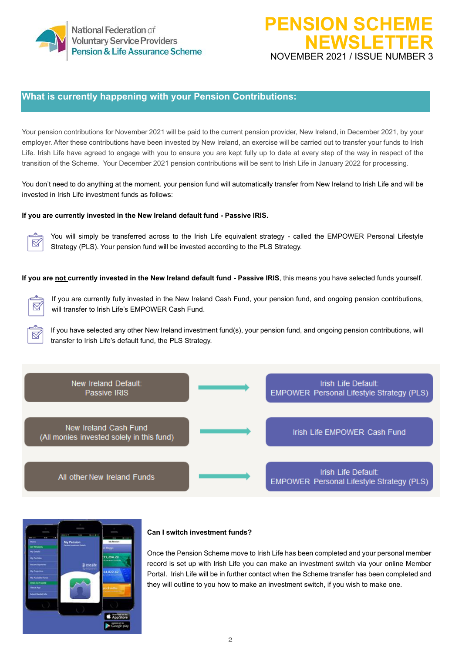

# **PENSION SCHEM NEWSLETTER** NOVEMBER 2021 / ISSUE NUMBER 3

## **What is currently happening with your Pension Contributions:**

Your pension contributions for November 2021 will be paid to the current pension provider, New Ireland, in December 2021, by your employer. After these contributions have been invested by New Ireland, an exercise will be carried out to transfer your funds to Irish Life. Irish Life have agreed to engage with you to ensure you are kept fully up to date at every step of the way in respect of the transition of the Scheme. Your December 2021 pension contributions will be sent to Irish Life in January 2022 for processing.

You don't need to do anything at the moment. your pension fund will automatically transfer from New Ireland to Irish Life and will be invested in Irish Life investment funds as follows:

#### **If you are currently invested in the New Ireland default fund - Passive IRIS.**



You will simply be transferred across to the Irish Life equivalent strategy - called the EMPOWER Personal Lifestyle Strategy (PLS). Your pension fund will be invested according to the PLS Strategy.

**If you are not currently invested in the New Ireland default fund - Passive IRIS**, this means you have selected funds yourself.



If you are currently fully invested in the New Ireland Cash Fund, your pension fund, and ongoing pension contributions, will transfer to Irish Life's EMPOWER Cash Fund.

If you have selected any other New Ireland investment fund(s), your pension fund, and ongoing pension contributions, will transfer to Irish Life's default fund, the PLS Strategy.





#### **Can I switch investment funds?**

Once the Pension Scheme move to Irish Life has been completed and your personal member record is set up with Irish Life you can make an investment switch via your online Member Portal. Irish Life will be in further contact when the Scheme transfer has been completed and they will outline to you how to make an investment switch, if you wish to make one.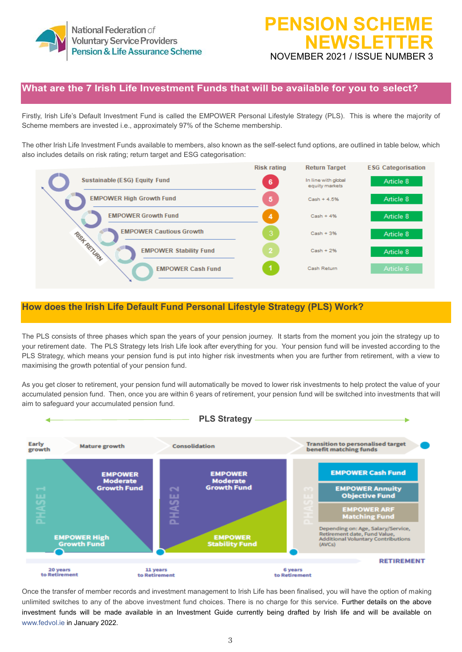

# **PENSION SCHEM NEWSLETTER** NOVEMBER 2021 / ISSUE NUMBER 3

## **What are the 7 Irish Life Investment Funds that will be available for you to select?**

Firstly, Irish Life's Default Investment Fund is called the EMPOWER Personal Lifestyle Strategy (PLS). This is where the majority of Scheme members are invested i.e., approximately 97% of the Scheme membership.

The other Irish Life Investment Funds available to members, also known as the self-select fund options, are outlined in table below, which also includes details on risk rating; return target and ESG categorisation:



## **How does the Irish Life Default Fund Personal Lifestyle Strategy (PLS) Work?**

The PLS consists of three phases which span the years of your pension journey. It starts from the moment you join the strategy up to your retirement date. The PLS Strategy lets Irish Life look after everything for you. Your pension fund will be invested according to the PLS Strategy, which means your pension fund is put into higher risk investments when you are further from retirement, with a view to maximising the growth potential of your pension fund.

As you get closer to retirement, your pension fund will automatically be moved to lower risk investments to help protect the value of your accumulated pension fund. Then, once you are within 6 years of retirement, your pension fund will be switched into investments that will aim to safeguard your accumulated pension fund.



Once the transfer of member records and investment management to Irish Life has been finalised, you will have the option of making unlimited switches to any of the above investment fund choices. There is no charge for this service. Further details on the above investment funds will be made available in an Investment Guide currently being drafted by Irish life and will be available on [www.fedvol.ie](http://www.fedvol.ie/) in January 2022.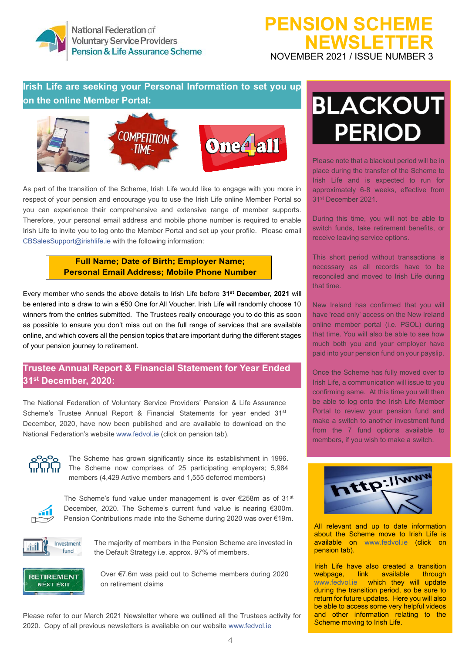

National Federation of **Voluntary Service Providers** Pension & Life Assurance Scheme

# **PENSION SCHEME NEWSLETTER** NOVEMBER 2021 / ISSUE NUMBER 3

## Irish Life are seeking your Personal Information to set you up **on the online Member Portal:**



As part of the transition of the Scheme, Irish Life would like to engage with you more in respect of your pension and encourage you to use the Irish Life online Member Portal so you can experience their comprehensive and extensive range of member supports. Therefore, your personal email address and mobile phone number is required to enable Irish Life to invite you to log onto the Member Portal and set up your profile. Please email [CBSalesSupport@irishlife.ie](mailto:CBSalesSupport@irishlife.ie) with the following information:

#### **Full Name; Date of Birth; Employer Name; Personal Email Address; Mobile Phone Number**

Every member who sends the above details to Irish Life before **31st December, 2021** will be entered into a draw to win a €50 One for All Voucher. Irish Life will randomly choose 10 winners from the entries submitted. The Trustees really encourage you to do this as soon as possible to ensure you don't miss out on the full range of services that are available online, and which covers all the pension topics that are important during the different stages of your pension journey to retirement.

## **Trustee Annual Report & Financial Statement for Year Ended 31st December, 2020:**

The National Federation of Voluntary Service Providers' Pension & Life Assurance Scheme's Trustee Annual Report & Financial Statements for year ended  $31<sup>st</sup>$ December, 2020, have now been published and are available to download on the National Federation's website [www.fedvol.ie](http://www.fedvol.ie/) (click on pension tab).



The Scheme has grown significantly since its establishment in 1996. The Scheme now comprises of 25 participating employers; 5,984 members (4,429 Active members and 1,555 deferred members)



The Scheme's fund value under management is over €258m as of 31st December, 2020. The Scheme's current fund value is nearing €300m. Pension Contributions made into the Scheme during 2020 was over €19m.



The majority of members in the Pension Scheme are invested in the Default Strategy i.e. approx. 97% of members.



Over €7.6m was paid out to Scheme members during 2020 on retirement claims

Please refer to our March 2021 Newsletter where we outlined all the Trustees activity for 2020. Copy of all previous newsletters is available on our website [www.fedvol.ie](http://www.fedvol.ie/)

# **BLACKOUT PFRIOD**

Please note that a blackout period will be in place during the transfer of the Scheme to Irish Life and is expected to run for approximately 6-8 weeks, effective from 31st December 2021.

During this time, you will not be able to switch funds, take retirement benefits, or receive leaving service options.

This short period without transactions is necessary as all records have to be reconciled and moved to Irish Life during that time.

New Ireland has confirmed that you will have 'read only' access on the New Ireland online member portal (i.e. PSOL) during that time. You will also be able to see how much both you and your employer have paid into your pension fund on your payslip.

Once the Scheme has fully moved over to Irish Life, a communication will issue to you confirming same. At this time you will then be able to log onto the Irish Life Member Portal to review your pension fund and make a switch to another investment fund from the 7 fund options available to members, if you wish to make a switch.



All relevant and up to date information about the Scheme move to Irish Life is available on [www.fedvol.ie](http://www.fedvol.ie/) (click on pension tab).

Irish Life have also created a transition<br>webpage, link available through webpage, link available through [www.fedvol.ie](http://www.fedvol.ie/) which they will update during the transition period, so be sure to return for future updates. Here you will also be able to access some very helpful videos and other information relating to the Scheme moving to Irish Life.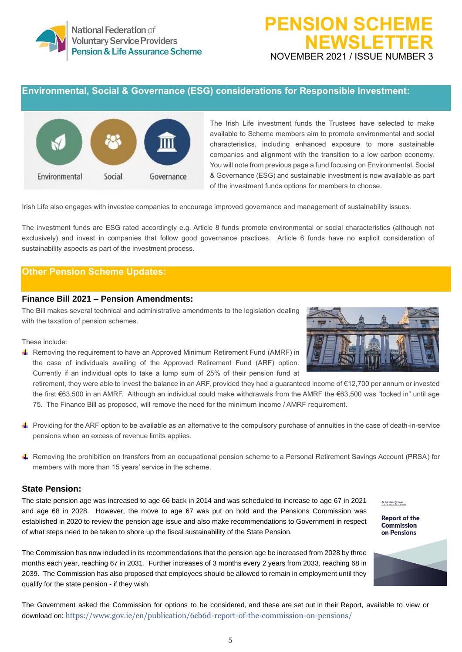# **PENSION SCHEME NEWSLETTER** NOVEMBER 2021 / ISSUE NUMBER 3

## **Environmental, Social & Governance (ESG) considerations for Responsible Investment:**



The Irish Life investment funds the Trustees have selected to make available to Scheme members aim to promote environmental and social characteristics, including enhanced exposure to more sustainable companies and alignment with the transition to a low carbon economy. You will note from previous page a fund focusing on Environmental, Social & Governance (ESG) and sustainable investment is now available as part of the investment funds options for members to choose.

Irish Life also engages with investee companies to encourage improved governance and management of sustainability issues.

The investment funds are ESG rated accordingly e.g. Article 8 funds promote environmental or social characteristics (although not exclusively) and invest in companies that follow good governance practices. Article 6 funds have no explicit consideration of sustainability aspects as part of the investment process.

## **Other Pension Scheme Updates:**

#### **Finance Bill 2021 – Pension Amendments:**

The Bill makes several technical and administrative amendments to the legislation dealing with the taxation of pension schemes.

These include:

For Removing the requirement to have an Approved Minimum Retirement Fund (AMRF) in the case of individuals availing of the Approved Retirement Fund (ARF) option. Currently if an individual opts to take a lump sum of 25% of their pension fund at

retirement, they were able to invest the balance in an ARF, provided they had a guaranteed income of €12,700 per annum or invested the first €63,500 in an AMRF. Although an individual could make withdrawals from the AMRF the €63,500 was "locked in" until age 75. The Finance Bill as proposed, will remove the need for the minimum income / AMRF requirement.

- Providing for the ARF option to be available as an alternative to the compulsory purchase of annuities in the case of death-in-service pensions when an excess of revenue limits applies.
- Removing the prohibition on transfers from an occupational pension scheme to a Personal Retirement Savings Account (PRSA) for members with more than 15 years' service in the scheme.

#### **State Pension:**

The state pension age was increased to age 66 back in 2014 and was scheduled to increase to age 67 in 2021 and age 68 in 2028. However, the move to age 67 was put on hold and the Pensions Commission was established in 2020 to review the pension age issue and also make recommendations to Government in respect of what steps need to be taken to shore up the fiscal sustainability of the State Pension.

The Commission has now included in its recommendations that the pension age be increased from 2028 by three months each year, reaching 67 in 2031. Further increases of 3 months every 2 years from 2033, reaching 68 in 2039. The Commission has also proposed that employees should be allowed to remain in employment until they qualify for the state pension - if they wish.

The Government asked the Commission for options to be considered, and these are set out in their Report, available to view or download on: <https://www.gov.ie/en/publication/6cb6d-report-of-the-commission-on-pensions/>





An Colmisión Pinsean<br>The Persines Compission

**Report of the**